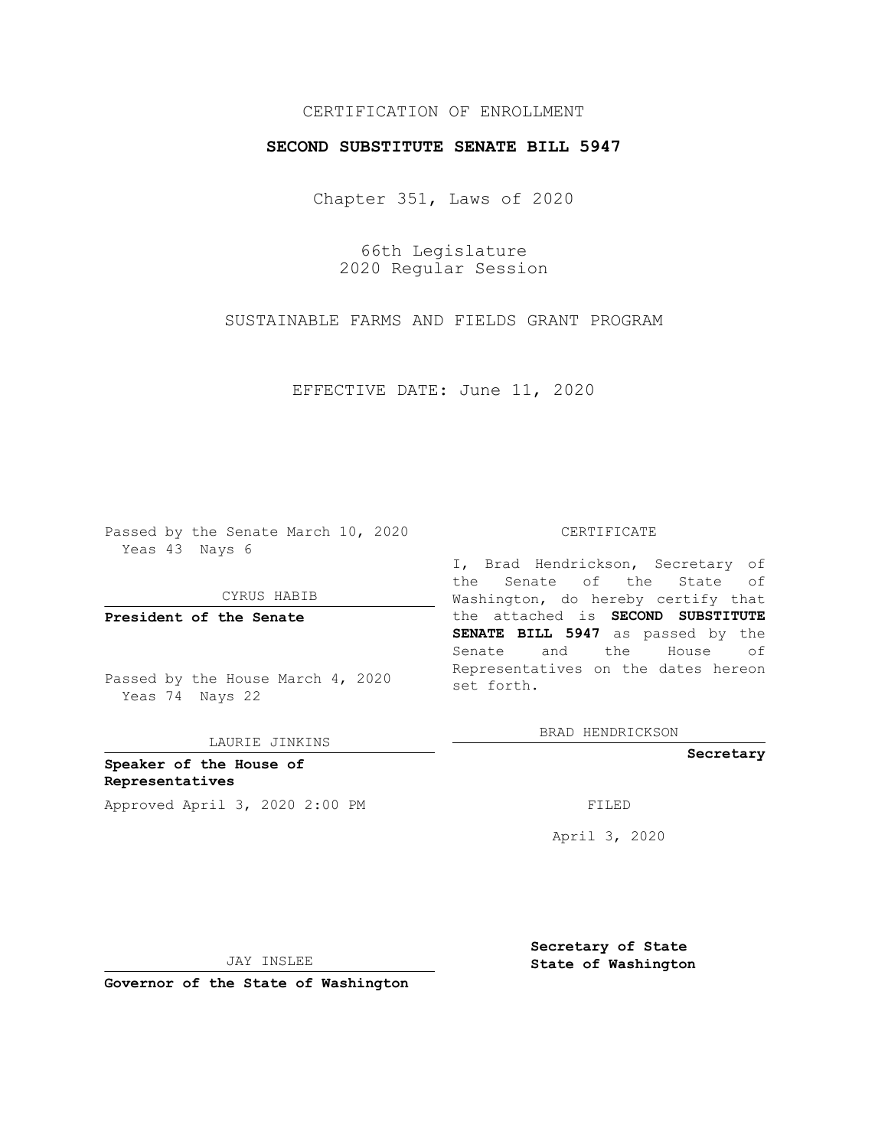# CERTIFICATION OF ENROLLMENT

## **SECOND SUBSTITUTE SENATE BILL 5947**

Chapter 351, Laws of 2020

66th Legislature 2020 Regular Session

SUSTAINABLE FARMS AND FIELDS GRANT PROGRAM

EFFECTIVE DATE: June 11, 2020

Passed by the Senate March 10, 2020 Yeas 43 Nays 6

CYRUS HABIB

**President of the Senate**

Passed by the House March 4, 2020 Yeas 74 Nays 22

LAURIE JINKINS

**Speaker of the House of Representatives** Approved April 3, 2020 2:00 PM

#### CERTIFICATE

I, Brad Hendrickson, Secretary of the Senate of the State of Washington, do hereby certify that the attached is **SECOND SUBSTITUTE SENATE BILL 5947** as passed by the Senate and the House of Representatives on the dates hereon set forth.

BRAD HENDRICKSON

**Secretary**

April 3, 2020

JAY INSLEE

**Secretary of State State of Washington**

**Governor of the State of Washington**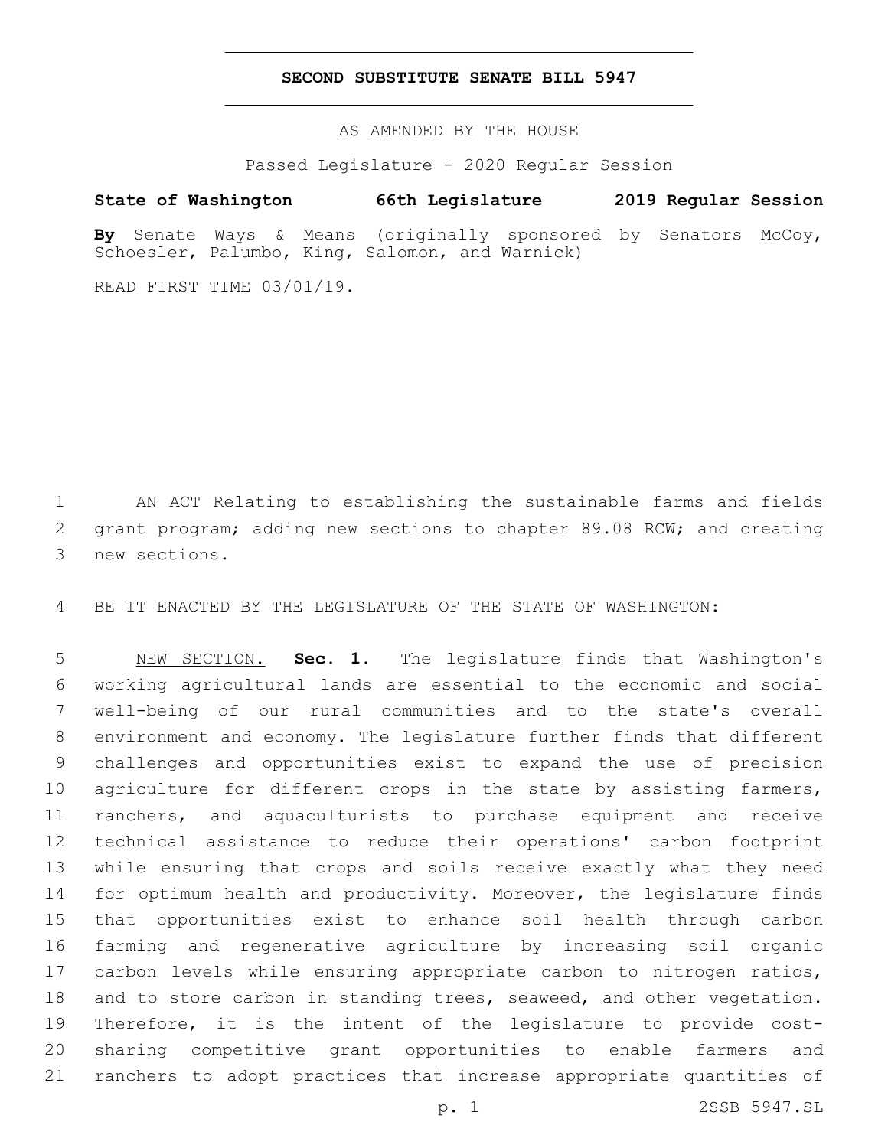## **SECOND SUBSTITUTE SENATE BILL 5947**

AS AMENDED BY THE HOUSE

Passed Legislature - 2020 Regular Session

# **State of Washington 66th Legislature 2019 Regular Session**

**By** Senate Ways & Means (originally sponsored by Senators McCoy, Schoesler, Palumbo, King, Salomon, and Warnick)

READ FIRST TIME 03/01/19.

 AN ACT Relating to establishing the sustainable farms and fields grant program; adding new sections to chapter 89.08 RCW; and creating 3 new sections.

BE IT ENACTED BY THE LEGISLATURE OF THE STATE OF WASHINGTON:

 NEW SECTION. **Sec. 1.** The legislature finds that Washington's working agricultural lands are essential to the economic and social well-being of our rural communities and to the state's overall environment and economy. The legislature further finds that different challenges and opportunities exist to expand the use of precision 10 agriculture for different crops in the state by assisting farmers, ranchers, and aquaculturists to purchase equipment and receive technical assistance to reduce their operations' carbon footprint while ensuring that crops and soils receive exactly what they need 14 for optimum health and productivity. Moreover, the legislature finds that opportunities exist to enhance soil health through carbon farming and regenerative agriculture by increasing soil organic carbon levels while ensuring appropriate carbon to nitrogen ratios, and to store carbon in standing trees, seaweed, and other vegetation. Therefore, it is the intent of the legislature to provide cost- sharing competitive grant opportunities to enable farmers and ranchers to adopt practices that increase appropriate quantities of

p. 1 2SSB 5947.SL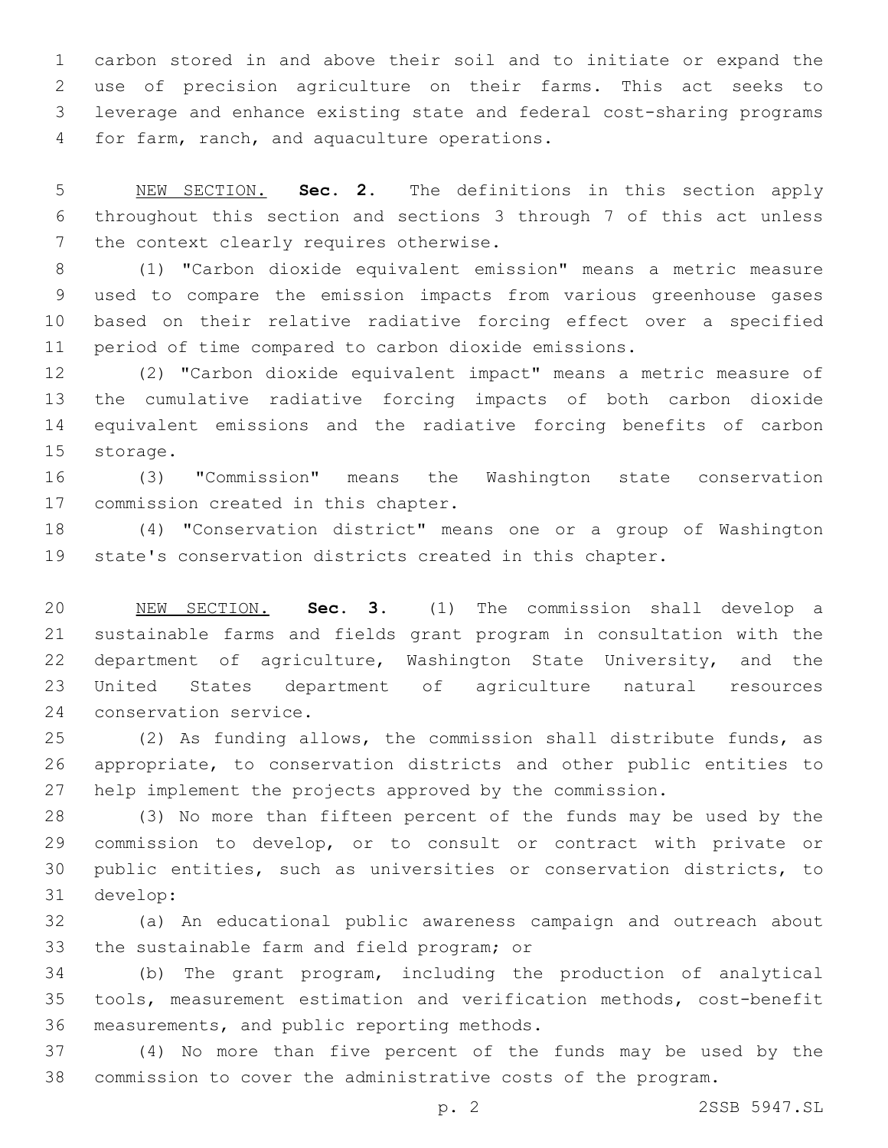carbon stored in and above their soil and to initiate or expand the use of precision agriculture on their farms. This act seeks to leverage and enhance existing state and federal cost-sharing programs 4 for farm, ranch, and aquaculture operations.

 NEW SECTION. **Sec. 2.** The definitions in this section apply throughout this section and sections 3 through 7 of this act unless the context clearly requires otherwise.

 (1) "Carbon dioxide equivalent emission" means a metric measure used to compare the emission impacts from various greenhouse gases based on their relative radiative forcing effect over a specified period of time compared to carbon dioxide emissions.

 (2) "Carbon dioxide equivalent impact" means a metric measure of the cumulative radiative forcing impacts of both carbon dioxide equivalent emissions and the radiative forcing benefits of carbon 15 storage.

 (3) "Commission" means the Washington state conservation 17 commission created in this chapter.

 (4) "Conservation district" means one or a group of Washington state's conservation districts created in this chapter.

 NEW SECTION. **Sec. 3.** (1) The commission shall develop a sustainable farms and fields grant program in consultation with the department of agriculture, Washington State University, and the United States department of agriculture natural resources 24 conservation service.

 (2) As funding allows, the commission shall distribute funds, as appropriate, to conservation districts and other public entities to help implement the projects approved by the commission.

 (3) No more than fifteen percent of the funds may be used by the commission to develop, or to consult or contract with private or public entities, such as universities or conservation districts, to develop:31

 (a) An educational public awareness campaign and outreach about 33 the sustainable farm and field program; or

 (b) The grant program, including the production of analytical tools, measurement estimation and verification methods, cost-benefit 36 measurements, and public reporting methods.

 (4) No more than five percent of the funds may be used by the commission to cover the administrative costs of the program.

p. 2 2SSB 5947.SL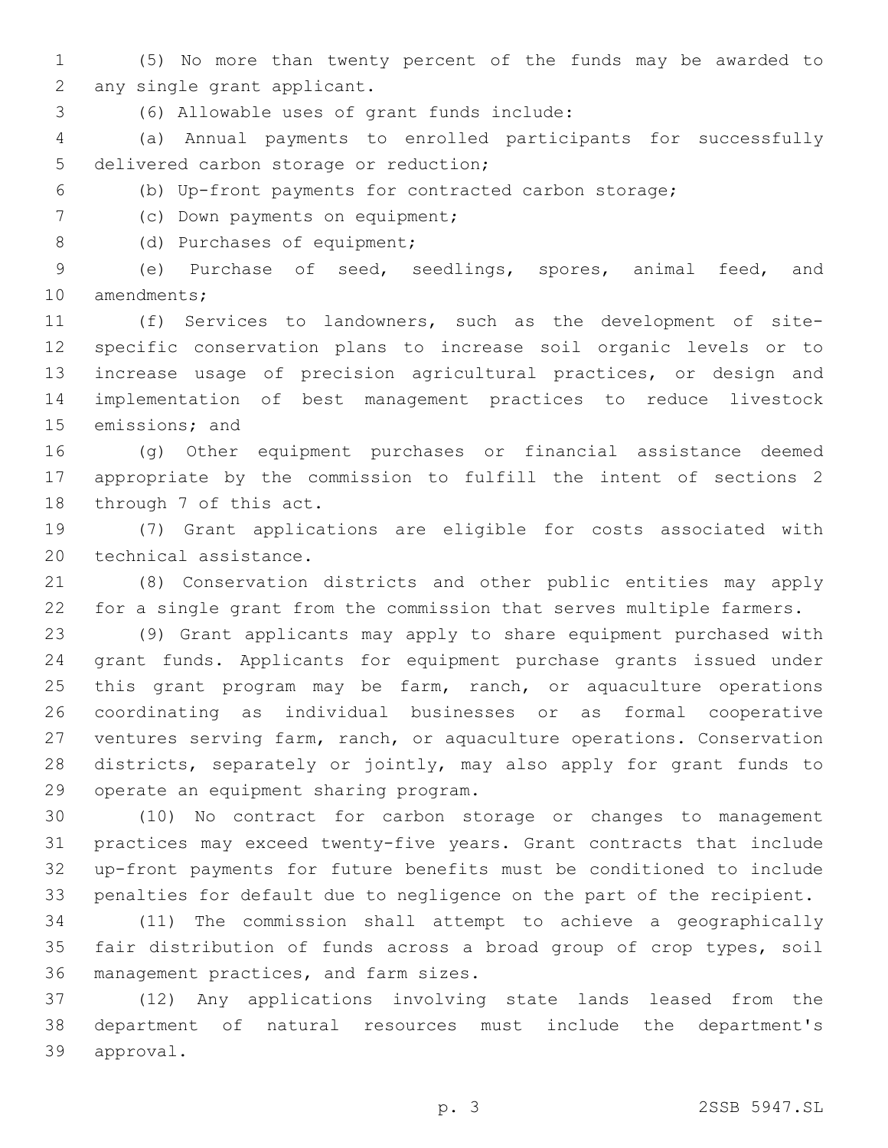- (5) No more than twenty percent of the funds may be awarded to 2 any single grant applicant.
- (6) Allowable uses of grant funds include:3

 (a) Annual payments to enrolled participants for successfully 5 delivered carbon storage or reduction;

- (b) Up-front payments for contracted carbon storage;
- 7 (c) Down payments on equipment;
- 8 (d) Purchases of equipment;

 (e) Purchase of seed, seedlings, spores, animal feed, and 10 amendments;

 (f) Services to landowners, such as the development of site- specific conservation plans to increase soil organic levels or to increase usage of precision agricultural practices, or design and implementation of best management practices to reduce livestock 15 emissions; and

 (g) Other equipment purchases or financial assistance deemed appropriate by the commission to fulfill the intent of sections 2 18 through 7 of this act.

 (7) Grant applications are eligible for costs associated with 20 technical assistance.

 (8) Conservation districts and other public entities may apply for a single grant from the commission that serves multiple farmers.

 (9) Grant applicants may apply to share equipment purchased with grant funds. Applicants for equipment purchase grants issued under 25 this grant program may be farm, ranch, or aquaculture operations coordinating as individual businesses or as formal cooperative ventures serving farm, ranch, or aquaculture operations. Conservation districts, separately or jointly, may also apply for grant funds to 29 operate an equipment sharing program.

 (10) No contract for carbon storage or changes to management practices may exceed twenty-five years. Grant contracts that include up-front payments for future benefits must be conditioned to include penalties for default due to negligence on the part of the recipient.

 (11) The commission shall attempt to achieve a geographically fair distribution of funds across a broad group of crop types, soil 36 management practices, and farm sizes.

 (12) Any applications involving state lands leased from the department of natural resources must include the department's 39 approval.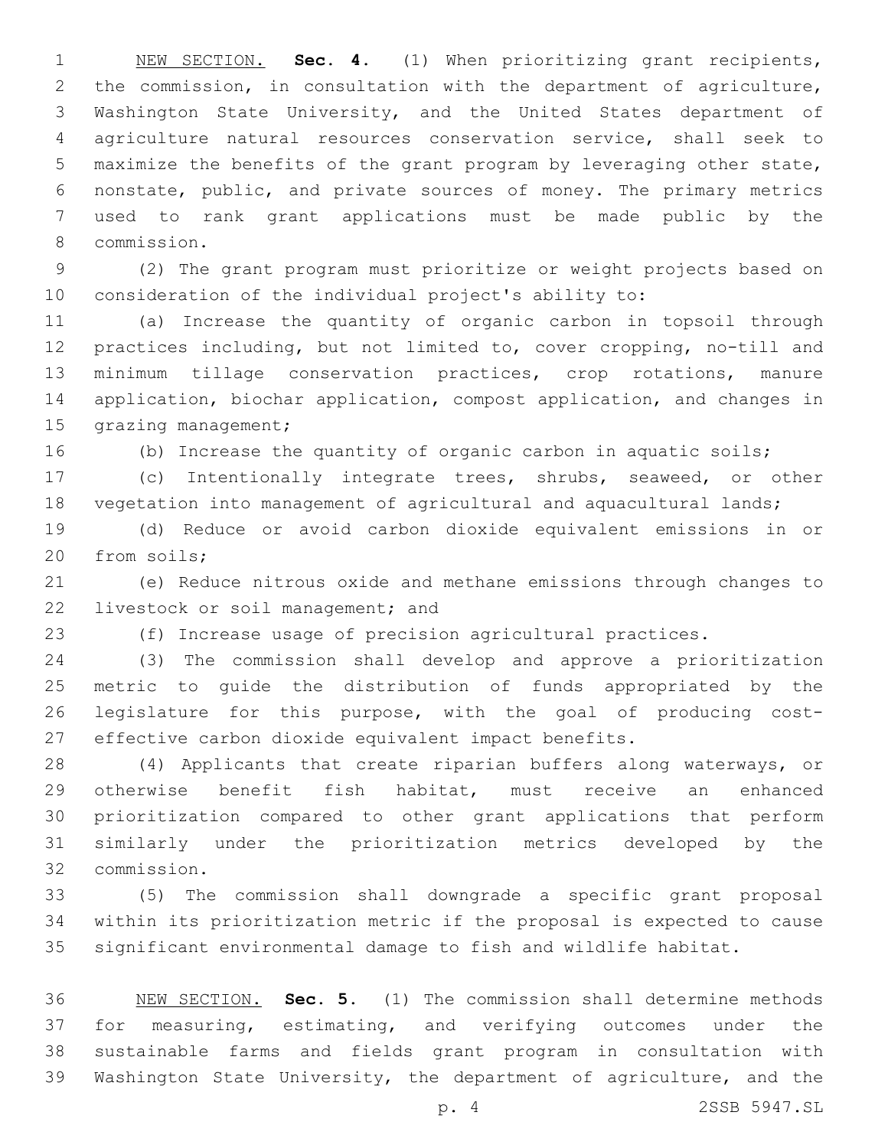NEW SECTION. **Sec. 4.** (1) When prioritizing grant recipients, the commission, in consultation with the department of agriculture, Washington State University, and the United States department of agriculture natural resources conservation service, shall seek to maximize the benefits of the grant program by leveraging other state, nonstate, public, and private sources of money. The primary metrics used to rank grant applications must be made public by the commission.8

 (2) The grant program must prioritize or weight projects based on consideration of the individual project's ability to:

 (a) Increase the quantity of organic carbon in topsoil through practices including, but not limited to, cover cropping, no-till and minimum tillage conservation practices, crop rotations, manure application, biochar application, compost application, and changes in 15 grazing management;

(b) Increase the quantity of organic carbon in aquatic soils;

 (c) Intentionally integrate trees, shrubs, seaweed, or other vegetation into management of agricultural and aquacultural lands;

 (d) Reduce or avoid carbon dioxide equivalent emissions in or 20 from soils;

 (e) Reduce nitrous oxide and methane emissions through changes to 22 livestock or soil management; and

(f) Increase usage of precision agricultural practices.

 (3) The commission shall develop and approve a prioritization metric to guide the distribution of funds appropriated by the legislature for this purpose, with the goal of producing cost-effective carbon dioxide equivalent impact benefits.

 (4) Applicants that create riparian buffers along waterways, or otherwise benefit fish habitat, must receive an enhanced prioritization compared to other grant applications that perform similarly under the prioritization metrics developed by the commission.32

 (5) The commission shall downgrade a specific grant proposal within its prioritization metric if the proposal is expected to cause significant environmental damage to fish and wildlife habitat.

 NEW SECTION. **Sec. 5.** (1) The commission shall determine methods for measuring, estimating, and verifying outcomes under the sustainable farms and fields grant program in consultation with Washington State University, the department of agriculture, and the

p. 4 2SSB 5947.SL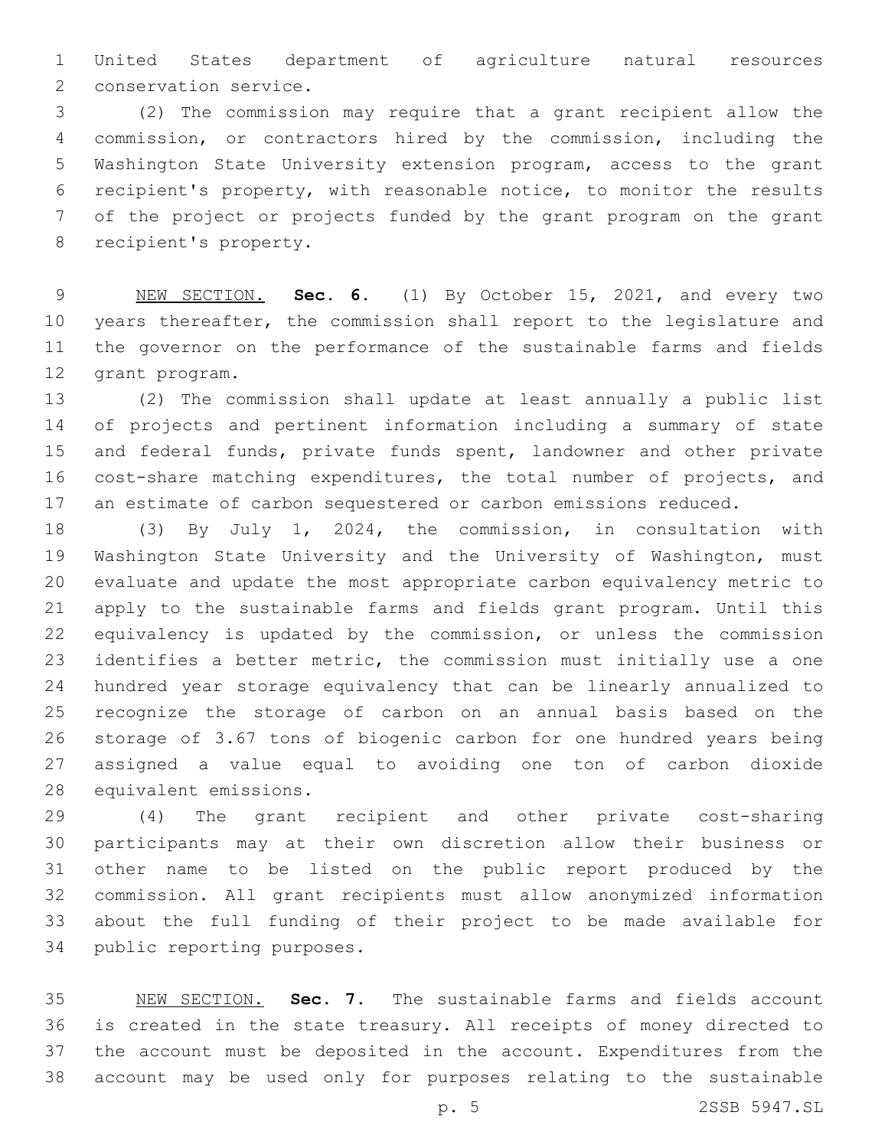United States department of agriculture natural resources 2 conservation service.

 (2) The commission may require that a grant recipient allow the commission, or contractors hired by the commission, including the Washington State University extension program, access to the grant recipient's property, with reasonable notice, to monitor the results of the project or projects funded by the grant program on the grant 8 recipient's property.

 NEW SECTION. **Sec. 6.** (1) By October 15, 2021, and every two years thereafter, the commission shall report to the legislature and the governor on the performance of the sustainable farms and fields grant program.

 (2) The commission shall update at least annually a public list of projects and pertinent information including a summary of state and federal funds, private funds spent, landowner and other private cost-share matching expenditures, the total number of projects, and an estimate of carbon sequestered or carbon emissions reduced.

 (3) By July 1, 2024, the commission, in consultation with Washington State University and the University of Washington, must evaluate and update the most appropriate carbon equivalency metric to apply to the sustainable farms and fields grant program. Until this equivalency is updated by the commission, or unless the commission identifies a better metric, the commission must initially use a one hundred year storage equivalency that can be linearly annualized to recognize the storage of carbon on an annual basis based on the storage of 3.67 tons of biogenic carbon for one hundred years being assigned a value equal to avoiding one ton of carbon dioxide 28 equivalent emissions.

 (4) The grant recipient and other private cost-sharing participants may at their own discretion allow their business or other name to be listed on the public report produced by the commission. All grant recipients must allow anonymized information about the full funding of their project to be made available for 34 public reporting purposes.

 NEW SECTION. **Sec. 7.** The sustainable farms and fields account is created in the state treasury. All receipts of money directed to the account must be deposited in the account. Expenditures from the account may be used only for purposes relating to the sustainable

p. 5 2SSB 5947.SL